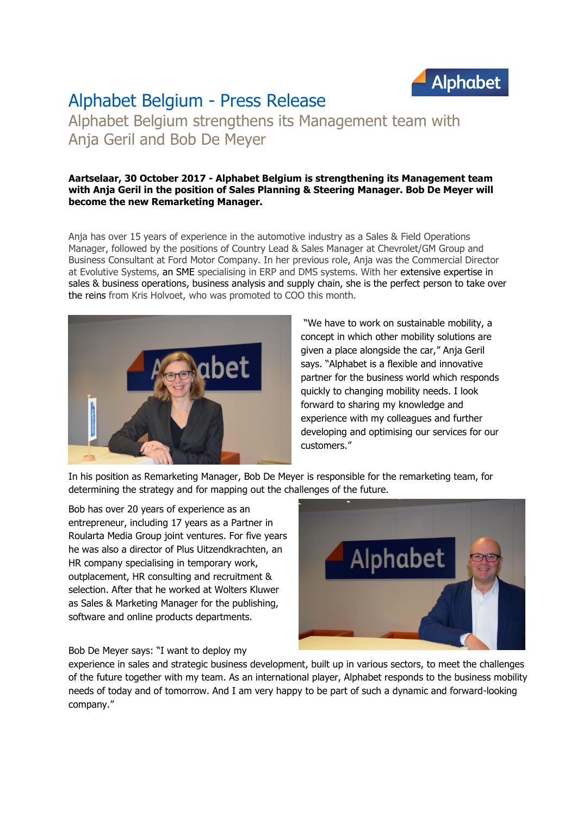

## Alphabet Belgium - Press Release

Alphabet Belgium strengthens its Management team with Anja Geril and Bob De Meyer

## **Aartselaar, 30 October 2017 - Alphabet Belgium is strengthening its Management team with Anja Geril in the position of Sales Planning & Steering Manager. Bob De Meyer will become the new Remarketing Manager.**

Anja has over 15 years of experience in the automotive industry as a Sales & Field Operations Manager, followed by the positions of Country Lead & Sales Manager at Chevrolet/GM Group and Business Consultant at Ford Motor Company. In her previous role, Anja was the Commercial Director at Evolutive Systems, an SME specialising in ERP and DMS systems. With her extensive expertise in sales & business operations, business analysis and supply chain, she is the perfect person to take over the reins from Kris Holvoet, who was promoted to COO this month.



"We have to work on sustainable mobility, a concept in which other mobility solutions are given a place alongside the car," Anja Geril says. "Alphabet is a flexible and innovative partner for the business world which responds quickly to changing mobility needs. I look forward to sharing my knowledge and experience with my colleagues and further developing and optimising our services for our customers."

In his position as Remarketing Manager, Bob De Meyer is responsible for the remarketing team, for determining the strategy and for mapping out the challenges of the future.

Bob has over 20 years of experience as an entrepreneur, including 17 years as a Partner in Roularta Media Group joint ventures. For five years he was also a director of Plus Uitzendkrachten, an HR company specialising in temporary work, outplacement, HR consulting and recruitment & selection. After that he worked at Wolters Kluwer as Sales & Marketing Manager for the publishing, software and online products departments.



Bob De Meyer says: "I want to deploy my

experience in sales and strategic business development, built up in various sectors, to meet the challenges of the future together with my team. As an international player, Alphabet responds to the business mobility needs of today and of tomorrow. And I am very happy to be part of such a dynamic and forward-looking company."